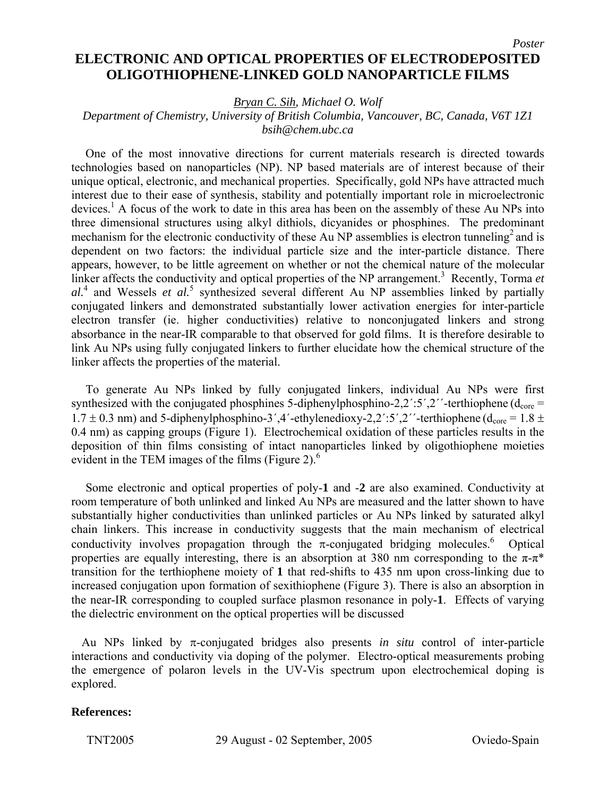## **ELECTRONIC AND OPTICAL PROPERTIES OF ELECTRODEPOSITED OLIGOTHIOPHENE-LINKED GOLD NANOPARTICLE FILMS**

*Bryan C. Sih, Michael O. Wolf* 

## *Department of Chemistry, University of British Columbia, Vancouver, BC, Canada, V6T 1Z1 bsih@chem.ubc.ca*

One of the most innovative directions for current materials research is directed towards technologies based on nanoparticles (NP). NP based materials are of interest because of their unique optical, electronic, and mechanical properties. Specifically, gold NPs have attracted much interest due to their ease of synthesis, stability and potentially important role in microelectronic devices.<sup>1</sup> A focus of the work to date in this area has been on the assembly of these Au NPs into three dimensional structures using alkyl dithiols, dicyanides or phosphines. The predominant mechanism for the electronic conductivity of these Au NP assemblies is electron tunneling<sup>2</sup> and is dependent on two factors: the individual particle size and the inter-particle distance. There appears, however, to be little agreement on whether or not the chemical nature of the molecular linker affects the conductivity and optical properties of the NP arrangement.<sup>3</sup> Recently, Torma et al.<sup>4</sup> and Wessels *et al.*<sup>5</sup> synthesized several different Au NP assemblies linked by partially conjugated linkers and demonstrated substantially lower activation energies for inter-particle electron transfer (ie. higher conductivities) relative to nonconjugated linkers and strong absorbance in the near-IR comparable to that observed for gold films. It is therefore desirable to link Au NPs using fully conjugated linkers to further elucidate how the chemical structure of the linker affects the properties of the material.

To generate Au NPs linked by fully conjugated linkers, individual Au NPs were first synthesized with the conjugated phosphines 5-diphenylphosphino-2,2´:5´,2´´-terthiophene ( $d_{\text{core}}$  =  $1.7 \pm 0.3$  nm) and 5-diphenylphosphino-3',4'-ethylenedioxy-2,2':5',2''-terthiophene (d<sub>core</sub> = 1.8  $\pm$ 0.4 nm) as capping groups (Figure 1). Electrochemical oxidation of these particles results in the deposition of thin films consisting of intact nanoparticles linked by oligothiophene moieties evident in the TEM images of the films (Figure 2). $<sup>6</sup>$ </sup>

Some electronic and optical properties of poly-**1** and -**2** are also examined. Conductivity at room temperature of both unlinked and linked Au NPs are measured and the latter shown to have substantially higher conductivities than unlinked particles or Au NPs linked by saturated alkyl chain linkers. This increase in conductivity suggests that the main mechanism of electrical conductivity involves propagation through the  $\pi$ -conjugated bridging molecules.<sup>6</sup> Optical properties are equally interesting, there is an absorption at 380 nm corresponding to the  $\pi$ - $\pi$ <sup>\*</sup> transition for the terthiophene moiety of **1** that red-shifts to 435 nm upon cross-linking due to increased conjugation upon formation of sexithiophene (Figure 3). There is also an absorption in the near-IR corresponding to coupled surface plasmon resonance in poly-**1**. Effects of varying the dielectric environment on the optical properties will be discussed

Au NPs linked by π-conjugated bridges also presents *in situ* control of inter-particle interactions and conductivity via doping of the polymer. Electro-optical measurements probing the emergence of polaron levels in the UV-Vis spectrum upon electrochemical doping is explored.

## **References:**